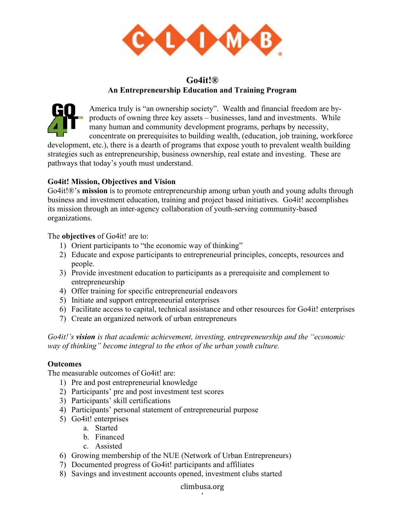

# **Go4it!® An Entrepreneurship Education and Training Program**



America truly is "an ownership society". Wealth and financial freedom are byproducts of owning three key assets – businesses, land and investments. While many human and community development programs, perhaps by necessity, concentrate on prerequisites to building wealth, (education, job training, workforce

development, etc.), there is a dearth of programs that expose youth to prevalent wealth building strategies such as entrepreneurship, business ownership, real estate and investing. These are pathways that today's youth must understand.

## **Go4it! Mission, Objectives and Vision**

Go4it!®'s **mission** is to promote entrepreneurship among urban youth and young adults through business and investment education, training and project based initiatives. Go4it! accomplishes its mission through an inter-agency collaboration of youth-serving community-based organizations.

The **objectives** of Go4it! are to:

- 1) Orient participants to "the economic way of thinking"
- 2) Educate and expose participants to entrepreneurial principles, concepts, resources and people.
- 3) Provide investment education to participants as a prerequisite and complement to entrepreneurship
- 4) Offer training for specific entrepreneurial endeavors
- 5) Initiate and support entrepreneurial enterprises
- 6) Facilitate access to capital, technical assistance and other resources for Go4it! enterprises
- 7) Create an organized network of urban entrepreneurs

*Go4it!'s vision is that academic achievement, investing, entrepreneurship and the "economic way of thinking" become integral to the ethos of the urban youth culture.* 

#### **Outcomes**

The measurable outcomes of Go4it! are:

- 1) Pre and post entrepreneurial knowledge
- 2) Participants' pre and post investment test scores
- 3) Participants' skill certifications
- 4) Participants' personal statement of entrepreneurial purpose
- 5) Go4it! enterprises
	- a. Started
	- b. Financed
	- c. Assisted
- 6) Growing membership of the NUE (Network of Urban Entrepreneurs)
- 7) Documented progress of Go4it! participants and affiliates
- 8) Savings and investment accounts opened, investment clubs started

## climbusa.org